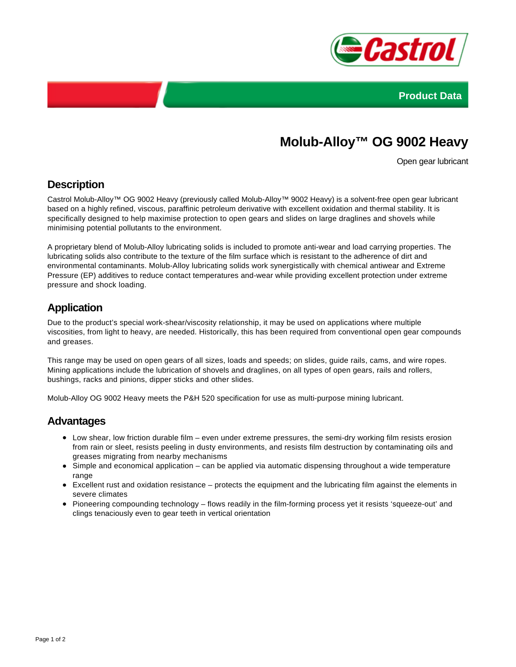



# **Molub-Alloy™ OG 9002 Heavy**

Open gear lubricant

## **Description**

Castrol Molub-Alloy™ OG 9002 Heavy (previously called Molub-Alloy™ 9002 Heavy) is a solvent-free open gear lubricant based on a highly refined, viscous, paraffinic petroleum derivative with excellent oxidation and thermal stability. It is specifically designed to help maximise protection to open gears and slides on large draglines and shovels while minimising potential pollutants to the environment.

A proprietary blend of Molub-Alloy lubricating solids is included to promote anti-wear and load carrying properties. The lubricating solids also contribute to the texture of the film surface which is resistant to the adherence of dirt and environmental contaminants. Molub-Alloy lubricating solids work synergistically with chemical antiwear and Extreme Pressure (EP) additives to reduce contact temperatures and-wear while providing excellent protection under extreme pressure and shock loading.

# **Application**

Due to the product's special work-shear/viscosity relationship, it may be used on applications where multiple viscosities, from light to heavy, are needed. Historically, this has been required from conventional open gear compounds and greases.

This range may be used on open gears of all sizes, loads and speeds; on slides, guide rails, cams, and wire ropes. Mining applications include the lubrication of shovels and draglines, on all types of open gears, rails and rollers, bushings, racks and pinions, dipper sticks and other slides.

Molub-Alloy OG 9002 Heavy meets the P&H 520 specification for use as multi-purpose mining lubricant.

#### **Advantages**

- Low shear, low friction durable film even under extreme pressures, the semi-dry working film resists erosion from rain or sleet, resists peeling in dusty environments, and resists film destruction by contaminating oils and greases migrating from nearby mechanisms
- Simple and economical application can be applied via automatic dispensing throughout a wide temperature range
- Excellent rust and oxidation resistance protects the equipment and the lubricating film against the elements in severe climates
- Pioneering compounding technology flows readily in the film-forming process yet it resists 'squeeze-out' and clings tenaciously even to gear teeth in vertical orientation